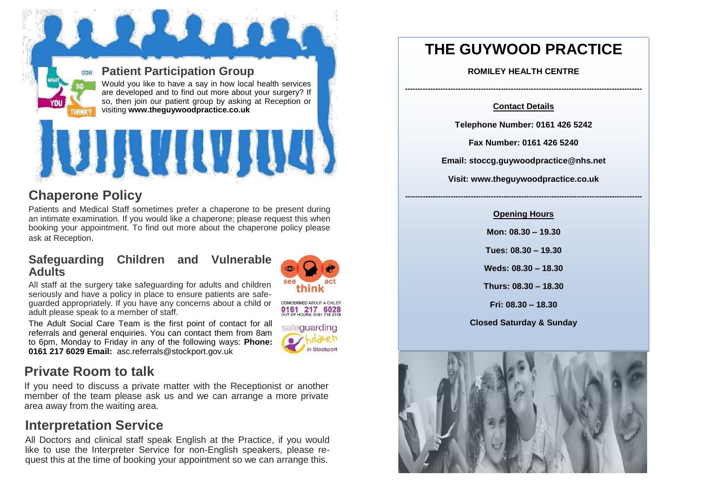**Patient Participation Group NHS** 

> Would you like to have a say in how local health services are developed and to find out more about your surgery? If so, then join our patient group by asking at Reception or visiting **www.theguywoodpractice.co.uk**

### **Chaperone Policy**

Patients and Medical Staff sometimes prefer a chaperone to be present during an intimate examination. If you would like a chaperone; please request this when booking your appointment. To find out more about the chaperone policy please ask at Reception.

JUJJULIUJUU)

#### **Safeguarding Children and Vulnerable Adults**



All staff at the surgery take safeguarding for adults and children seriously and have a policy in place to ensure patients are safeguarded appropriately. If you have any concerns about a child or adult please speak to a member of staff.

CONCERNED ABOUT A CHILD? 0161 217 6028

The Adult Social Care Team is the first point of contact for all referrals and general enquiries. You can contact them from 8am to 6pm, Monday to Friday in any of the following ways: **Phone: 0161 217 6029 Email:** [asc.referrals@stockport.gov.uk](mailto:asc.referrals@stockport.gov.uk?subject=contact%20from%20my%20care,%20my%20choice%20website)



### **Private Room to talk**

If you need to discuss a private matter with the Receptionist or another member of the team please ask us and we can arrange a more private area away from the waiting area.

### **Interpretation Service**

All Doctors and clinical staff speak English at the Practice, if you would like to use the Interpreter Service for non-English speakers, please request this at the time of booking your appointment so we can arrange this.

## **THE GUYWOOD PRACTICE**

**ROMILEY HEALTH CENTRE**

**----------------------------------------------------------------------------------------------**

#### **Contact Details**

**Telephone Number: 0161 426 5242**

**Fax Number: 0161 426 5240**

**Email: stoccg.guywoodpractice@nhs.net**

**Visit: www.theguywoodpractice.co.uk**

#### **Opening Hours**

**----------------------------------------------------------------------------------------------**

**Mon: 08.30 – 19.30**

**Tues: 08.30 – 19.30**

**Weds: 08.30 – 18.30**

**Thurs: 08.30 – 18.30**

**Fri: 08.30 – 18.30**

**Closed Saturday & Sunday**

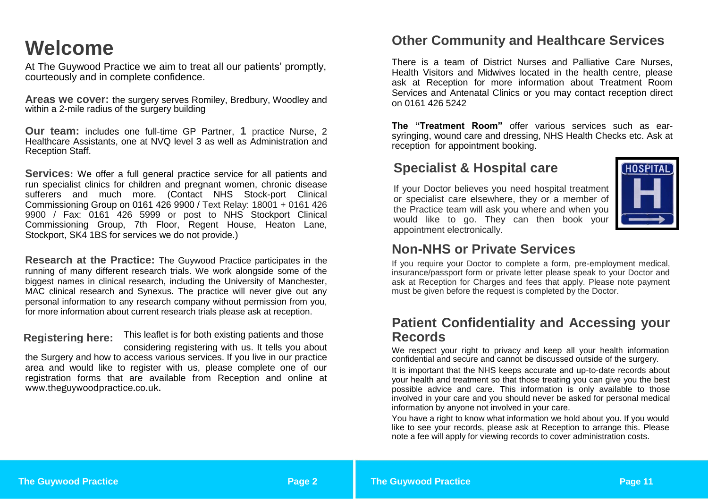# **Welcome**

At The Guywood Practice we aim to treat all our patients' promptly, courteously and in complete confidence.

**Areas we cover:** the surgery serves Romiley, Bredbury, Woodley and within a 2-mile radius of the surgery building

**Our team:** includes one full-time GP Partner, **1** practice Nurse, 2 Healthcare Assistants, one at NVQ level 3 as well as Administration and Reception Staff.

**Services:** We offer a full general practice service for all patients and run specialist clinics for children and pregnant women, chronic disease sufferers and much more. (Contact NHS Stock-port Clinical Commissioning Group on 0161 426 9900 / Text Relay: 18001 + 0161 426 9900 / Fax: 0161 426 5999 or post to NHS Stockport Clinical Commissioning Group, 7th Floor, Regent House, Heaton Lane, Stockport, SK4 1BS for services we do not provide.)

**Research at the Practice:** The Guywood Practice participates in the running of many different research trials. We work alongside some of the biggest names in clinical research, including the University of Manchester, MAC clinical research and Synexus. The practice will never give out any personal information to any research company without permission from you, for more information about current research trials please ask at reception.

This leaflet is for both existing patients and those considering registering with us. It tells you about **Registering here:**

the Surgery and how to access various services. If you live in our practice area and would like to register with us, please complete one of our registration forms that are available from Reception and online at www.theguywoodpractice.co.uk.

### **Other Community and Healthcare Services**

There is a team of District Nurses and Palliative Care Nurses, Health Visitors and Midwives located in the health centre, please ask at Reception for more information about Treatment Room Services and Antenatal Clinics or you may contact reception direct on 0161 426 5242

**The "Treatment Room"** offer various services such as earsyringing, wound care and dressing, NHS Health Checks etc. Ask at reception for appointment booking.

### **Specialist & Hospital care**

If your Doctor believes you need hospital treatment or specialist care elsewhere, they or a member of the Practice team will ask you where and when you would like to go. They can then book your appointment electronically.



### **Non-NHS or Private Services**

If you require your Doctor to complete a form, pre-employment medical, insurance/passport form or private letter please speak to your Doctor and ask at Reception for Charges and fees that apply. Please note payment must be given before the request is completed by the Doctor.

### **Patient Confidentiality and Accessing your Records**

We respect your right to privacy and keep all your health information confidential and secure and cannot be discussed outside of the surgery.

It is important that the NHS keeps accurate and up-to-date records about your health and treatment so that those treating you can give you the best possible advice and care. This information is only available to those involved in your care and you should never be asked for personal medical information by anyone not involved in your care.

You have a right to know what information we hold about you. If you would like to see your records, please ask at Reception to arrange this. Please note a fee will apply for viewing records to cover administration costs.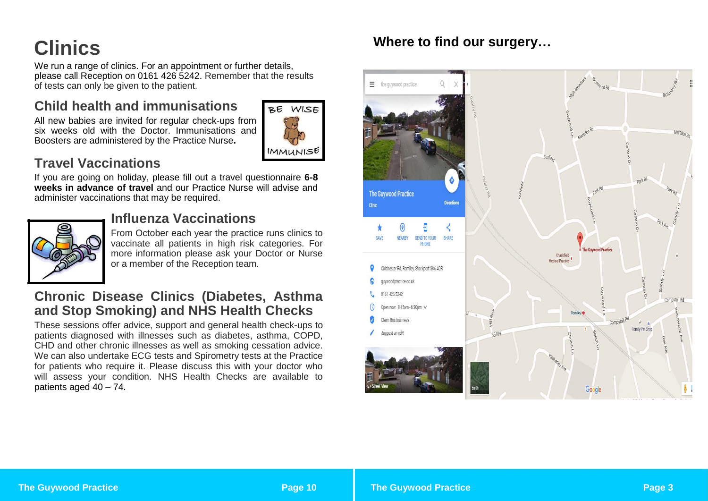# **Clinics**

We run a range of clinics. For an appointment or further details, please call Reception on 0161 426 5242. Remember that the results of tests can only be given to the patient.

### **Child health and immunisations**

All new babies are invited for regular check-ups from six weeks old with the Doctor. Immunisations and Boosters are administered by the Practice Nurse**.**



### **Travel Vaccinations**

If you are going on holiday, please fill out a travel questionnaire **6-8 weeks in advance of travel** and our Practice Nurse will advise and administer vaccinations that may be required.



### **Influenza Vaccinations**

From October each year the practice runs clinics to vaccinate all patients in high risk categories. For more information please ask your Doctor or Nurse or a member of the Reception team.

### **Chronic Disease Clinics (Diabetes, Asthma and Stop Smoking) and NHS Health Checks**

These sessions offer advice, support and general health check-ups to patients diagnosed with illnesses such as diabetes, asthma, COPD, CHD and other chronic illnesses as well as smoking cessation advice. We can also undertake ECG tests and Spirometry tests at the Practice for patients who require it. Please discuss this with your doctor who will assess your condition. NHS Health Checks are available to patients aged 40 – 74.

### **Where to find our surgery…**

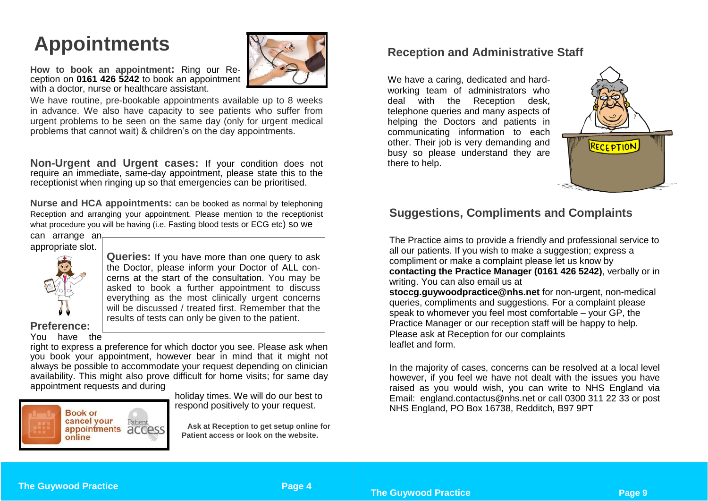# **Appointments**



**How to book an appointment:** Ring our Reception on **0161 426 5242** to book an appointment with a doctor, nurse or healthcare assistant.

We have routine, pre-bookable appointments available up to 8 weeks in advance. We also have capacity to see patients who suffer from urgent problems to be seen on the same day (only for urgent medical problems that cannot wait) & children's on the day appointments.

**Non-Urgent and Urgent cases:** If your condition does not require an immediate, same-day appointment, please state this to the receptionist when ringing up so that emergencies can be prioritised.

**Nurse and HCA appointments:** can be booked as normal by telephoning Reception and arranging your appointment. Please mention to the receptionist what procedure you will be having (i.e. Fasting blood tests or ECG etc) so we

can arrange an appropriate slot.



**Queries:** If you have more than one query to ask the Doctor, please inform your Doctor of ALL concerns at the start of the consultation. You may be asked to book a further appointment to discuss everything as the most clinically urgent concerns will be discussed / treated first. Remember that the results of tests can only be given to the patient.

**Preference:**  You have the

right to express a preference for which doctor you see. Please ask when you book your appointment, however bear in mind that it might not always be possible to accommodate your request depending on clinician availability. This might also prove difficult for home visits; for same day appointment requests and during



holiday times. We will do our best to respond positively to your request.

**Ask at Reception to get setup online for Patient access or look on the website.**

#### **Reception and Administrative Staff**

We have a caring, dedicated and hardworking team of administrators who deal with the Reception desk, telephone queries and many aspects of helping the Doctors and patients in communicating information to each other. Their job is very demanding and busy so please understand they are there to help.



### **Suggestions, Compliments and Complaints**

The Practice aims to provide a friendly and professional service to all our patients. If you wish to make a suggestion; express a compliment or make a complaint please let us know by **contacting the Practice Manager (0161 426 5242)**, verbally or in writing. You can also email us at **stoccg.guywoodpractice@nhs.net** for non-urgent, non-medical queries, compliments and suggestions. For a complaint please speak to whomever you feel most comfortable – your GP, the Practice Manager or our reception staff will be happy to help. Please ask at Reception for our complaints leaflet and form.

In the majority of cases, concerns can be resolved at a local level however, if you feel we have not dealt with the issues you have raised as you would wish, you can write to NHS England via Email: [england.contactus@nhs.net](mailto:england.contactus@nhs.net) or call 0300 311 22 33 or post NHS England, PO Box 16738, Redditch, B97 9PT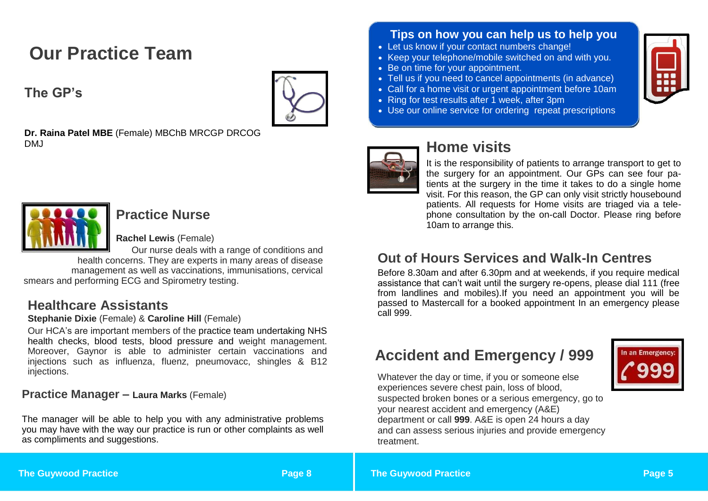# **Our Practice Team**

### **The GP's**



**Dr. Raina Patel MBE** (Female) MBChB MRCGP DRCOG DMJ



### **Practice Nurse**

**Rachel Lewis** (Female)

 Our nurse deals with a range of conditions and health concerns. They are experts in many areas of disease management as well as vaccinations, immunisations, cervical smears and performing ECG and Spirometry testing.

### **Healthcare Assistants**

**Stephanie Dixie** (Female) & **Caroline Hill** (Female)

Our HCA's are important members of the practice team undertaking NHS health checks, blood tests, blood pressure and weight management. Moreover, Gaynor is able to administer certain vaccinations and injections such as influenza, fluenz, pneumovacc, shingles & B12 injections.

**Practice Manager – Laura Marks** (Female)

The manager will be able to help you with any administrative problems you may have with the way our practice is run or other complaints as well as compliments and suggestions.

### **Tips on how you can help us to help you**

- Let us know if your contact numbers change!
- Keep your telephone/mobile switched on and with you.
- Be on time for your appointment.
- Tell us if you need to cancel appointments (in advance)
- Call for a home visit or urgent appointment before 10am
- Ring for test results after 1 week, after 3pm
- Use our online service for ordering repeat prescriptions



# **Home visits**

It is the responsibility of patients to arrange transport to get to the surgery for an appointment. Our GPs can see four patients at the surgery in the time it takes to do a single home visit. For this reason, the GP can only visit strictly housebound patients. All requests for Home visits are triaged via a telephone consultation by the on-call Doctor. Please ring before 10am to arrange this.

### **Out of Hours Services and Walk-In Centres**

Before 8.30am and after 6.30pm and at weekends, if you require medical assistance that can't wait until the surgery re-opens, please dial 111 (free from landlines and mobiles).If you need an appointment you will be passed to Mastercall for a booked appointment In an emergency please call 999.

# **Accident and Emergency / 999**

Whatever the day or time, if you or someone else experiences severe chest pain, loss of blood, suspected broken bones or a serious emergency, go to your nearest accident and emergency (A&E) department or call **999**. A&E is open 24 hours a day and can assess serious injuries and provide emergency treatment.